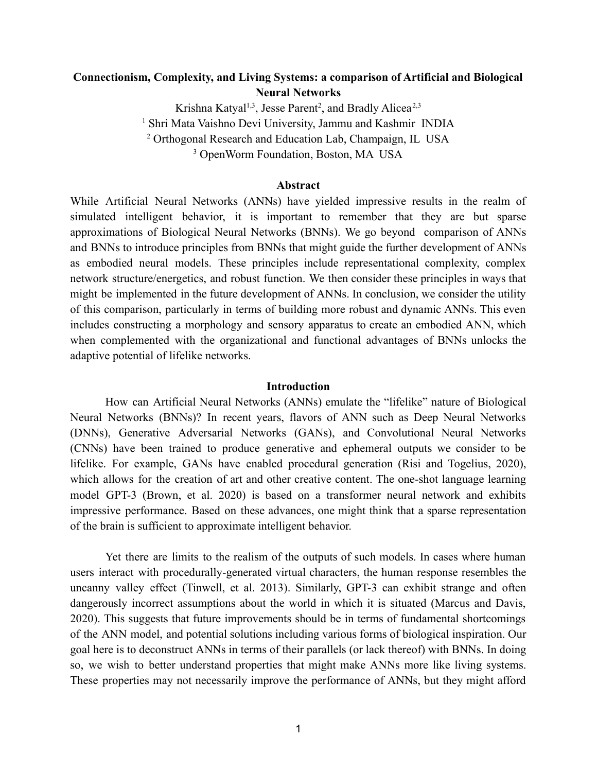# **Connectionism, Complexity, and Living Systems: a comparison of Artificial and Biological Neural Networks**

Krishna Katyal<sup>1,3</sup>, Jesse Parent<sup>2</sup>, and Bradly Alicea<sup>2,3</sup> <sup>1</sup> Shri Mata Vaishno Devi University, Jammu and Kashmir INDIA <sup>2</sup> Orthogonal Research and Education Lab, Champaign, IL USA <sup>3</sup> OpenWorm Foundation, Boston, MA USA

#### **Abstract**

While Artificial Neural Networks (ANNs) have yielded impressive results in the realm of simulated intelligent behavior, it is important to remember that they are but sparse approximations of Biological Neural Networks (BNNs). We go beyond comparison of ANNs and BNNs to introduce principles from BNNs that might guide the further development of ANNs as embodied neural models. These principles include representational complexity, complex network structure/energetics, and robust function. We then consider these principles in ways that might be implemented in the future development of ANNs. In conclusion, we consider the utility of this comparison, particularly in terms of building more robust and dynamic ANNs. This even includes constructing a morphology and sensory apparatus to create an embodied ANN, which when complemented with the organizational and functional advantages of BNNs unlocks the adaptive potential of lifelike networks.

#### **Introduction**

How can Artificial Neural Networks (ANNs) emulate the "lifelike" nature of Biological Neural Networks (BNNs)? In recent years, flavors of ANN such as Deep Neural Networks (DNNs), Generative Adversarial Networks (GANs), and Convolutional Neural Networks (CNNs) have been trained to produce generative and ephemeral outputs we consider to be lifelike. For example, GANs have enabled procedural generation (Risi and Togelius, 2020), which allows for the creation of art and other creative content. The one-shot language learning model GPT-3 (Brown, et al. 2020) is based on a transformer neural network and exhibits impressive performance. Based on these advances, one might think that a sparse representation of the brain is sufficient to approximate intelligent behavior.

Yet there are limits to the realism of the outputs of such models. In cases where human users interact with procedurally-generated virtual characters, the human response resembles the uncanny valley effect (Tinwell, et al. 2013). Similarly, GPT-3 can exhibit strange and often dangerously incorrect assumptions about the world in which it is situated (Marcus and Davis, 2020). This suggests that future improvements should be in terms of fundamental shortcomings of the ANN model, and potential solutions including various forms of biological inspiration. Our goal here is to deconstruct ANNs in terms of their parallels (or lack thereof) with BNNs. In doing so, we wish to better understand properties that might make ANNs more like living systems. These properties may not necessarily improve the performance of ANNs, but they might afford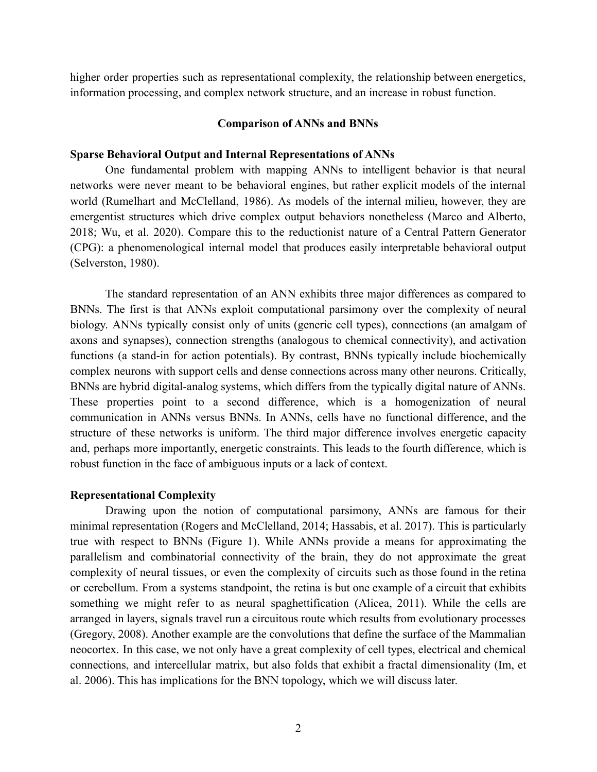higher order properties such as representational complexity, the relationship between energetics, information processing, and complex network structure, and an increase in robust function.

## **Comparison of ANNs and BNNs**

#### **Sparse Behavioral Output and Internal Representations of ANNs**

One fundamental problem with mapping ANNs to intelligent behavior is that neural networks were never meant to be behavioral engines, but rather explicit models of the internal world (Rumelhart and McClelland, 1986). As models of the internal milieu, however, they are emergentist structures which drive complex output behaviors nonetheless (Marco and Alberto, 2018; Wu, et al. 2020). Compare this to the reductionist nature of a Central Pattern Generator (CPG): a phenomenological internal model that produces easily interpretable behavioral output (Selverston, 1980).

The standard representation of an ANN exhibits three major differences as compared to BNNs. The first is that ANNs exploit computational parsimony over the complexity of neural biology. ANNs typically consist only of units (generic cell types), connections (an amalgam of axons and synapses), connection strengths (analogous to chemical connectivity), and activation functions (a stand-in for action potentials). By contrast, BNNs typically include biochemically complex neurons with support cells and dense connections across many other neurons. Critically, BNNs are hybrid digital-analog systems, which differs from the typically digital nature of ANNs. These properties point to a second difference, which is a homogenization of neural communication in ANNs versus BNNs. In ANNs, cells have no functional difference, and the structure of these networks is uniform. The third major difference involves energetic capacity and, perhaps more importantly, energetic constraints. This leads to the fourth difference, which is robust function in the face of ambiguous inputs or a lack of context.

# **Representational Complexity**

Drawing upon the notion of computational parsimony, ANNs are famous for their minimal representation (Rogers and McClelland, 2014; Hassabis, et al. 2017). This is particularly true with respect to BNNs (Figure 1). While ANNs provide a means for approximating the parallelism and combinatorial connectivity of the brain, they do not approximate the great complexity of neural tissues, or even the complexity of circuits such as those found in the retina or cerebellum. From a systems standpoint, the retina is but one example of a circuit that exhibits something we might refer to as neural spaghettification (Alicea, 2011). While the cells are arranged in layers, signals travel run a circuitous route which results from evolutionary processes (Gregory, 2008). Another example are the convolutions that define the surface of the Mammalian neocortex. In this case, we not only have a great complexity of cell types, electrical and chemical connections, and intercellular matrix, but also folds that exhibit a fractal dimensionality (Im, et al. 2006). This has implications for the BNN topology, which we will discuss later.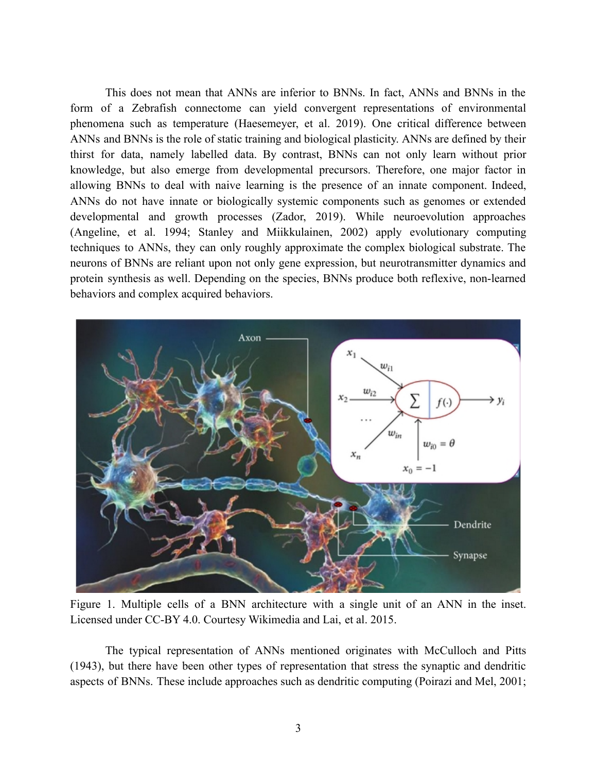This does not mean that ANNs are inferior to BNNs. In fact, ANNs and BNNs in the form of a Zebrafish connectome can yield convergent representations of environmental phenomena such as temperature (Haesemeyer, et al. 2019). One critical difference between ANNs and BNNs is the role of static training and biological plasticity. ANNs are defined by their thirst for data, namely labelled data. By contrast, BNNs can not only learn without prior knowledge, but also emerge from developmental precursors. Therefore, one major factor in allowing BNNs to deal with naive learning is the presence of an innate component. Indeed, ANNs do not have innate or biologically systemic components such as genomes or extended developmental and growth processes (Zador, 2019). While neuroevolution approaches (Angeline, et al. 1994; Stanley and Miikkulainen, 2002) apply evolutionary computing techniques to ANNs, they can only roughly approximate the complex biological substrate. The neurons of BNNs are reliant upon not only gene expression, but neurotransmitter dynamics and protein synthesis as well. Depending on the species, BNNs produce both reflexive, non-learned behaviors and complex acquired behaviors.



Figure 1. Multiple cells of a BNN architecture with a single unit of an ANN in the inset. Licensed under CC-BY 4.0. Courtesy Wikimedia and Lai, et al. 2015.

The typical representation of ANNs mentioned originates with McCulloch and Pitts (1943), but there have been other types of representation that stress the synaptic and dendritic aspects of BNNs. These include approaches such as dendritic computing (Poirazi and Mel, 2001;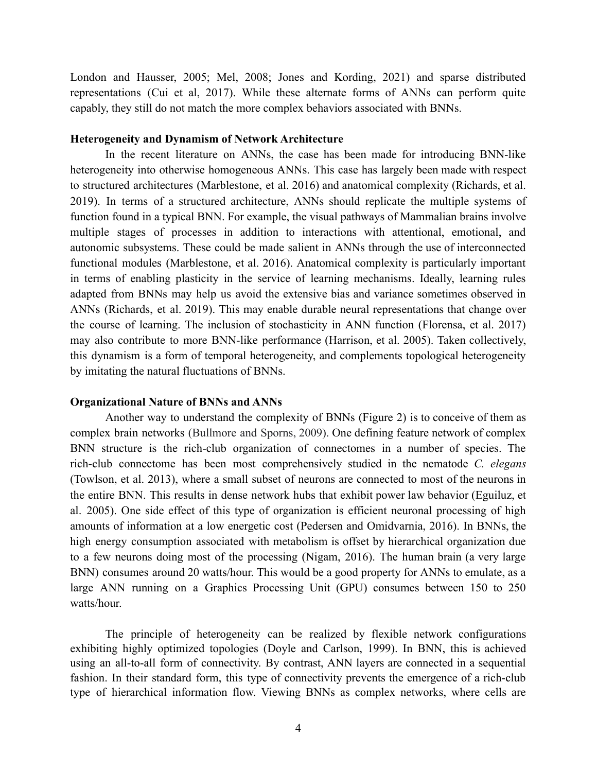London and Hausser, 2005; Mel, 2008; Jones and Kording, 2021) and sparse distributed representations (Cui et al, 2017). While these alternate forms of ANNs can perform quite capably, they still do not match the more complex behaviors associated with BNNs.

#### **Heterogeneity and Dynamism of Network Architecture**

In the recent literature on ANNs, the case has been made for introducing BNN-like heterogeneity into otherwise homogeneous ANNs. This case has largely been made with respect to structured architectures (Marblestone, et al. 2016) and anatomical complexity (Richards, et al. 2019). In terms of a structured architecture, ANNs should replicate the multiple systems of function found in a typical BNN. For example, the visual pathways of Mammalian brains involve multiple stages of processes in addition to interactions with attentional, emotional, and autonomic subsystems. These could be made salient in ANNs through the use of interconnected functional modules (Marblestone, et al. 2016). Anatomical complexity is particularly important in terms of enabling plasticity in the service of learning mechanisms. Ideally, learning rules adapted from BNNs may help us avoid the extensive bias and variance sometimes observed in ANNs (Richards, et al. 2019). This may enable durable neural representations that change over the course of learning. The inclusion of stochasticity in ANN function (Florensa, et al. 2017) may also contribute to more BNN-like performance (Harrison, et al. 2005). Taken collectively, this dynamism is a form of temporal heterogeneity, and complements topological heterogeneity by imitating the natural fluctuations of BNNs.

#### **Organizational Nature of BNNs and ANNs**

Another way to understand the complexity of BNNs (Figure 2) is to conceive of them as complex brain networks (Bullmore and Sporns, 2009). One defining feature network of complex BNN structure is the rich-club organization of connectomes in a number of species. The rich-club connectome has been most comprehensively studied in the nematode *C. elegans* (Towlson, et al. 2013), where a small subset of neurons are connected to most of the neurons in the entire BNN. This results in dense network hubs that exhibit power law behavior (Eguiluz, et al. 2005). One side effect of this type of organization is efficient neuronal processing of high amounts of information at a low energetic cost (Pedersen and Omidvarnia, 2016). In BNNs, the high energy consumption associated with metabolism is offset by hierarchical organization due to a few neurons doing most of the processing (Nigam, 2016). The human brain (a very large BNN) consumes around 20 watts/hour. This would be a good property for ANNs to emulate, as a large ANN running on a Graphics Processing Unit (GPU) consumes between 150 to 250 watts/hour.

The principle of heterogeneity can be realized by flexible network configurations exhibiting highly optimized topologies (Doyle and Carlson, 1999). In BNN, this is achieved using an all-to-all form of connectivity. By contrast, ANN layers are connected in a sequential fashion. In their standard form, this type of connectivity prevents the emergence of a rich-club type of hierarchical information flow. Viewing BNNs as complex networks, where cells are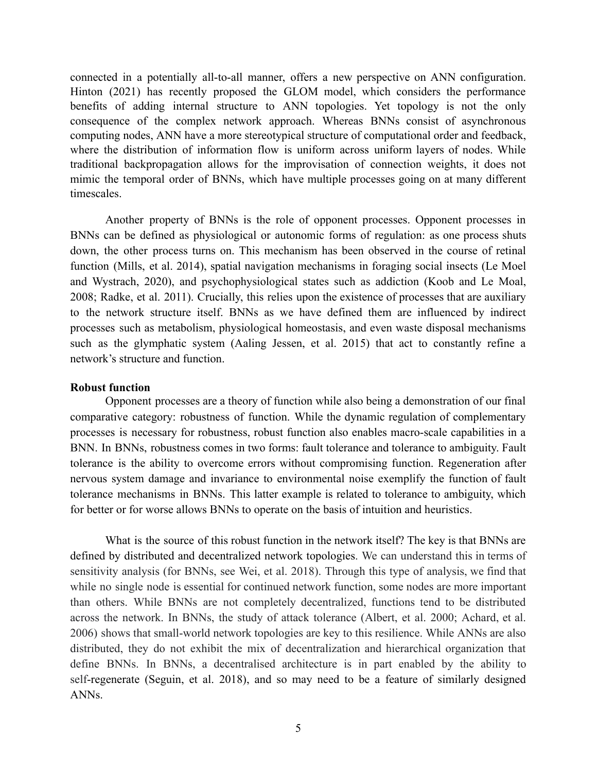connected in a potentially all-to-all manner, offers a new perspective on ANN configuration. Hinton (2021) has recently proposed the GLOM model, which considers the performance benefits of adding internal structure to ANN topologies. Yet topology is not the only consequence of the complex network approach. Whereas BNNs consist of asynchronous computing nodes, ANN have a more stereotypical structure of computational order and feedback, where the distribution of information flow is uniform across uniform layers of nodes. While traditional backpropagation allows for the improvisation of connection weights, it does not mimic the temporal order of BNNs, which have multiple processes going on at many different timescales.

Another property of BNNs is the role of opponent processes. Opponent processes in BNNs can be defined as physiological or autonomic forms of regulation: as one process shuts down, the other process turns on. This mechanism has been observed in the course of retinal function (Mills, et al. 2014), spatial navigation mechanisms in foraging social insects (Le Moel and Wystrach, 2020), and psychophysiological states such as addiction (Koob and Le Moal, 2008; Radke, et al. 2011). Crucially, this relies upon the existence of processes that are auxiliary to the network structure itself. BNNs as we have defined them are influenced by indirect processes such as metabolism, physiological homeostasis, and even waste disposal mechanisms such as the glymphatic system (Aaling Jessen, et al. 2015) that act to constantly refine a network's structure and function.

## **Robust function**

Opponent processes are a theory of function while also being a demonstration of our final comparative category: robustness of function. While the dynamic regulation of complementary processes is necessary for robustness, robust function also enables macro-scale capabilities in a BNN. In BNNs, robustness comes in two forms: fault tolerance and tolerance to ambiguity. Fault tolerance is the ability to overcome errors without compromising function. Regeneration after nervous system damage and invariance to environmental noise exemplify the function of fault tolerance mechanisms in BNNs. This latter example is related to tolerance to ambiguity, which for better or for worse allows BNNs to operate on the basis of intuition and heuristics.

What is the source of this robust function in the network itself? The key is that BNNs are defined by distributed and decentralized network topologies. We can understand this in terms of sensitivity analysis (for BNNs, see Wei, et al. 2018). Through this type of analysis, we find that while no single node is essential for continued network function, some nodes are more important than others. While BNNs are not completely decentralized, functions tend to be distributed across the network. In BNNs, the study of attack tolerance (Albert, et al. 2000; Achard, et al. 2006) shows that small-world network topologies are key to this resilience. While ANNs are also distributed, they do not exhibit the mix of decentralization and hierarchical organization that define BNNs. In BNNs, a decentralised architecture is in part enabled by the ability to self-regenerate (Seguin, et al. 2018), and so may need to be a feature of similarly designed ANNs.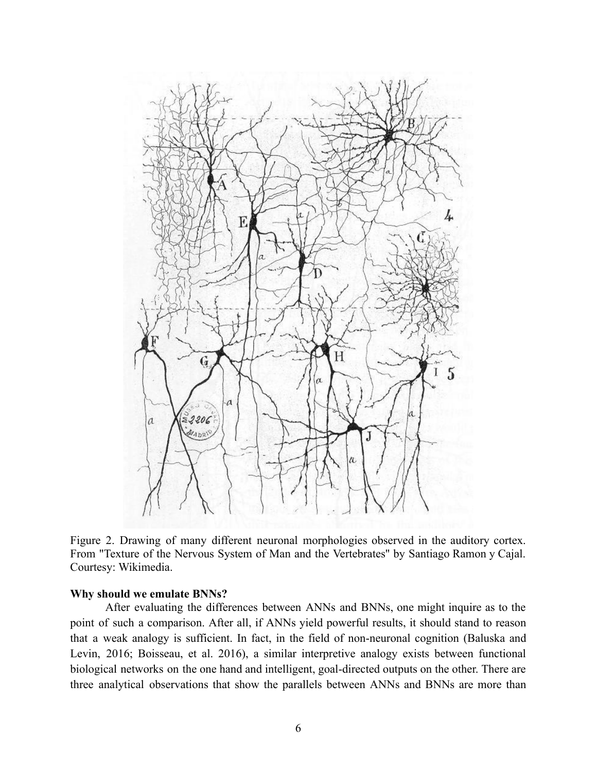

Figure 2. Drawing of many different neuronal morphologies observed in the auditory cortex. From "Texture of the Nervous System of Man and the Vertebrates'' by Santiago Ramon y Cajal. Courtesy: Wikimedia.

# **Why should we emulate BNNs?**

After evaluating the differences between ANNs and BNNs, one might inquire as to the point of such a comparison. After all, if ANNs yield powerful results, it should stand to reason that a weak analogy is sufficient. In fact, in the field of non-neuronal cognition (Baluska and Levin, 2016; Boisseau, et al. 2016), a similar interpretive analogy exists between functional biological networks on the one hand and intelligent, goal-directed outputs on the other. There are three analytical observations that show the parallels between ANNs and BNNs are more than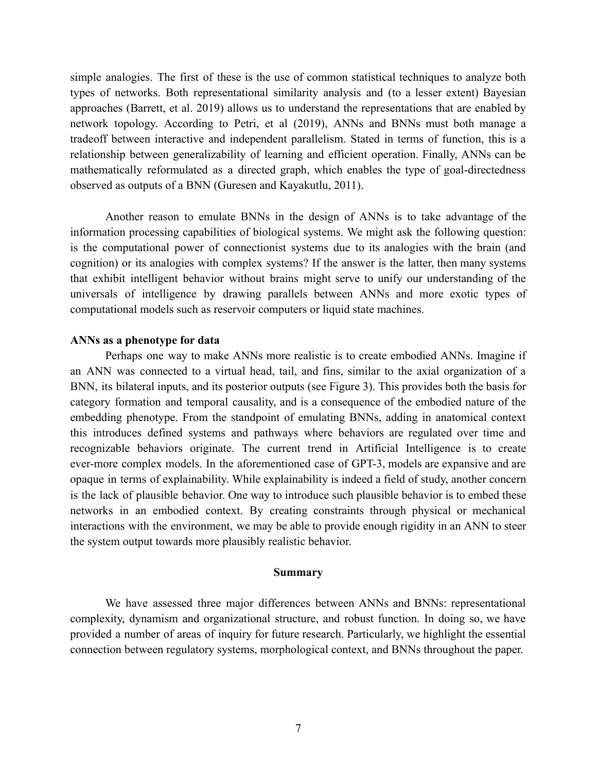simple analogies. The first of these is the use of common statistical techniques to analyze both types of networks. Both representational similarity analysis and (to a lesser extent) Bayesian approaches (Barrett, et al. 2019) allows us to understand the representations that are enabled by network topology. According to Petri, et al (2019), ANNs and BNNs must both manage a tradeoff between interactive and independent parallelism. Stated in terms of function, this is a relationship between generalizability of learning and efficient operation. Finally, ANNs can be mathematically reformulated as a directed graph, which enables the type of goal-directedness observed as outputs of a BNN (Guresen and Kayakutlu, 2011).

Another reason to emulate BNNs in the design of ANNs is to take advantage of the information processing capabilities of biological systems. We might ask the following question: is the computational power of connectionist systems due to its analogies with the brain (and cognition) or its analogies with complex systems? If the answer is the latter, then many systems that exhibit intelligent behavior without brains might serve to unify our understanding of the universals of intelligence by drawing parallels between ANNs and more exotic types of computational models such as reservoir computers or liquid state machines.

#### **ANNs as a phenotype for data**

Perhaps one way to make ANNs more realistic is to create embodied ANNs. Imagine if an ANN was connected to a virtual head, tail, and fins, similar to the axial organization of a BNN, its bilateral inputs, and its posterior outputs (see Figure 3). This provides both the basis for category formation and temporal causality, and is a consequence of the embodied nature of the embedding phenotype. From the standpoint of emulating BNNs, adding in anatomical context this introduces defined systems and pathways where behaviors are regulated over time and recognizable behaviors originate. The current trend in Artificial Intelligence is to create ever-more complex models. In the aforementioned case of GPT-3, models are expansive and are opaque in terms of explainability. While explainability is indeed a field of study, another concern is the lack of plausible behavior. One way to introduce such plausible behavior is to embed these networks in an embodied context. By creating constraints through physical or mechanical interactions with the environment, we may be able to provide enough rigidity in an ANN to steer the system output towards more plausibly realistic behavior.

#### **Summary**

We have assessed three major differences between ANNs and BNNs: representational complexity, dynamism and organizational structure, and robust function. In doing so, we have provided a number of areas of inquiry for future research. Particularly, we highlight the essential connection between regulatory systems, morphological context, and BNNs throughout the paper.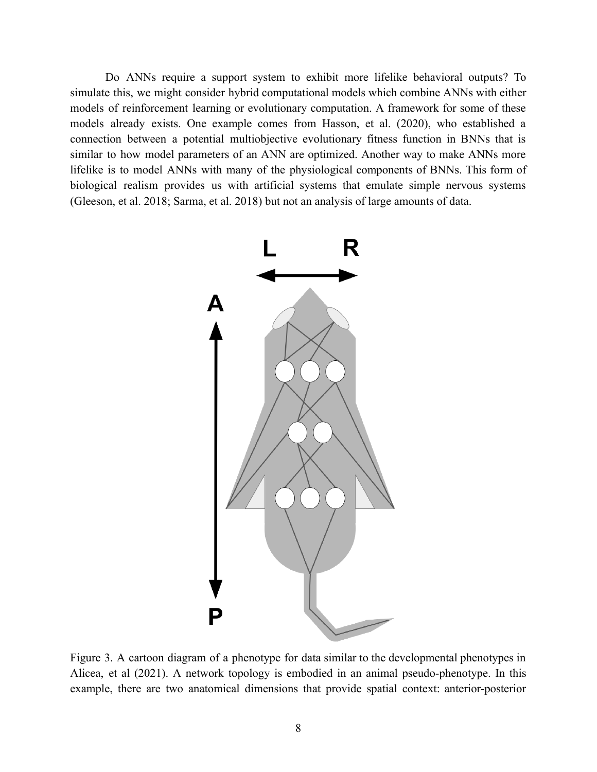Do ANNs require a support system to exhibit more lifelike behavioral outputs? To simulate this, we might consider hybrid computational models which combine ANNs with either models of reinforcement learning or evolutionary computation. A framework for some of these models already exists. One example comes from Hasson, et al. (2020), who established a connection between a potential multiobjective evolutionary fitness function in BNNs that is similar to how model parameters of an ANN are optimized. Another way to make ANNs more lifelike is to model ANNs with many of the physiological components of BNNs. This form of biological realism provides us with artificial systems that emulate simple nervous systems (Gleeson, et al. 2018; Sarma, et al. 2018) but not an analysis of large amounts of data.



Figure 3. A cartoon diagram of a phenotype for data similar to the developmental phenotypes in Alicea, et al (2021). A network topology is embodied in an animal pseudo-phenotype. In this example, there are two anatomical dimensions that provide spatial context: anterior-posterior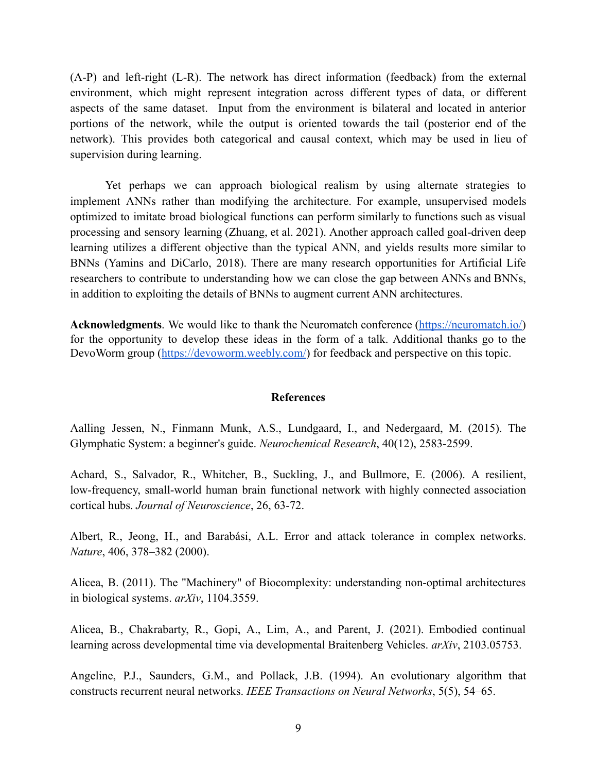(A-P) and left-right (L-R). The network has direct information (feedback) from the external environment, which might represent integration across different types of data, or different aspects of the same dataset. Input from the environment is bilateral and located in anterior portions of the network, while the output is oriented towards the tail (posterior end of the network). This provides both categorical and causal context, which may be used in lieu of supervision during learning.

Yet perhaps we can approach biological realism by using alternate strategies to implement ANNs rather than modifying the architecture. For example, unsupervised models optimized to imitate broad biological functions can perform similarly to functions such as visual processing and sensory learning (Zhuang, et al. 2021). Another approach called goal-driven deep learning utilizes a different objective than the typical ANN, and yields results more similar to BNNs (Yamins and DiCarlo, 2018). There are many research opportunities for Artificial Life researchers to contribute to understanding how we can close the gap between ANNs and BNNs, in addition to exploiting the details of BNNs to augment current ANN architectures.

**Acknowledgments**. We would like to thank the Neuromatch conference ([https://neuromatch.io/\)](https://neuromatch.io/) for the opportunity to develop these ideas in the form of a talk. Additional thanks go to the DevoWorm group (<https://devoworm.weebly.com/>) for feedback and perspective on this topic.

# **References**

Aalling Jessen, N., Finmann Munk, A.S., Lundgaard, I., and Nedergaard, M. (2015). The Glymphatic System: a beginner's guide. *Neurochemical Research*, 40(12), 2583-2599.

Achard, S., Salvador, R., Whitcher, B., Suckling, J., and Bullmore, E. (2006). A resilient, low-frequency, small-world human brain functional network with highly connected association cortical hubs. *Journal of Neuroscience*, 26, 63-72.

Albert, R., Jeong, H., and Barabási, A.L. Error and attack tolerance in complex networks. *Nature*, 406, 378–382 (2000).

Alicea, B. (2011). The "Machinery" of Biocomplexity: understanding non-optimal architectures in biological systems. *arXiv*, 1104.3559.

Alicea, B., Chakrabarty, R., Gopi, A., Lim, A., and Parent, J. (2021). Embodied continual learning across developmental time via developmental Braitenberg Vehicles. *arXiv*, 2103.05753.

Angeline, P.J., Saunders, G.M., and Pollack, J.B. (1994). An evolutionary algorithm that constructs recurrent neural networks. *IEEE Transactions on Neural Networks*, 5(5), 54–65.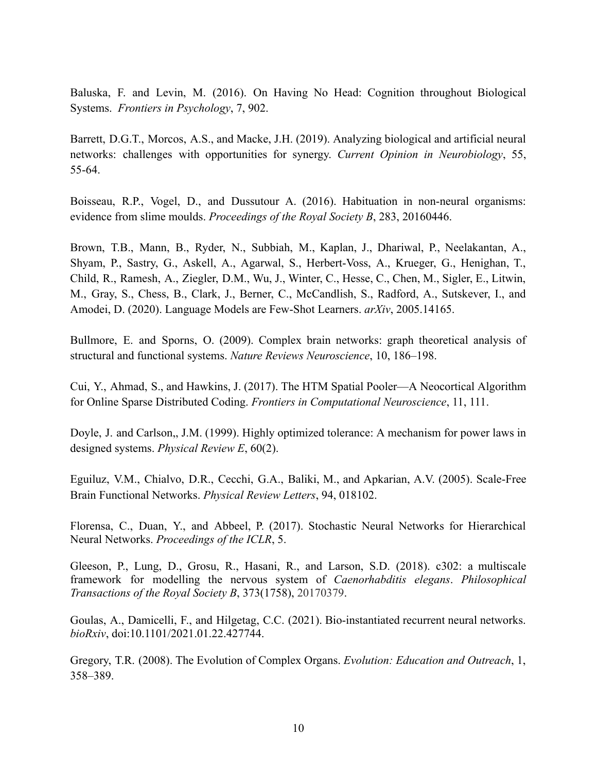Baluska, F. and Levin, M. (2016). On Having No Head: Cognition throughout Biological Systems. *Frontiers in Psychology*, 7, 902.

Barrett, D.G.T., Morcos, A.S., and Macke, J.H. (2019). Analyzing biological and artificial neural networks: challenges with opportunities for synergy. *Current Opinion in Neurobiology*, 55, 55-64.

Boisseau, R.P., Vogel, D., and Dussutour A. (2016). Habituation in non-neural organisms: evidence from slime moulds. *Proceedings of the Royal Society B*, 283, 20160446.

Brown, T.B., Mann, B., Ryder, N., Subbiah, M., Kaplan, J., Dhariwal, P., Neelakantan, A., Shyam, P., Sastry, G., Askell, A., Agarwal, S., Herbert-Voss, A., Krueger, G., Henighan, T., Child, R., Ramesh, A., Ziegler, D.M., Wu, J., Winter, C., Hesse, C., Chen, M., Sigler, E., Litwin, M., Gray, S., Chess, B., Clark, J., Berner, C., McCandlish, S., Radford, A., Sutskever, I., and Amodei, D. (2020). Language Models are Few-Shot Learners. *arXiv*, 2005.14165.

Bullmore, E. and Sporns, O. (2009). Complex brain networks: graph theoretical analysis of structural and functional systems. *Nature Reviews Neuroscience*, 10, 186–198.

Cui, Y., Ahmad, S., and Hawkins, J. (2017). The HTM Spatial Pooler—A Neocortical Algorithm for Online Sparse Distributed Coding. *Frontiers in Computational Neuroscience*, 11, 111.

Doyle, J. and Carlson,, J.M. (1999). Highly optimized tolerance: A mechanism for power laws in designed systems. *Physical Review E*, 60(2).

Eguiluz, V.M., Chialvo, D.R., Cecchi, G.A., Baliki, M., and Apkarian, A.V. (2005). Scale-Free Brain Functional Networks. *Physical Review Letters*, 94, 018102.

Florensa, C., Duan, Y., and Abbeel, P. (2017). Stochastic Neural Networks for Hierarchical Neural Networks. *Proceedings of the ICLR*, 5.

Gleeson, P., Lung, D., Grosu, R., Hasani, R., and Larson, S.D. (2018). c302: a multiscale framework for modelling the nervous system of *Caenorhabditis elegans*. *Philosophical Transactions of the Royal Society B*, 373(1758), 20170379.

Goulas, A., Damicelli, F., and Hilgetag, C.C. (2021). Bio-instantiated recurrent neural networks. *bioRxiv*, doi:10.1101/2021.01.22.427744.

Gregory, T.R. (2008). The Evolution of Complex Organs. *Evolution: Education and Outreach*, 1, 358–389.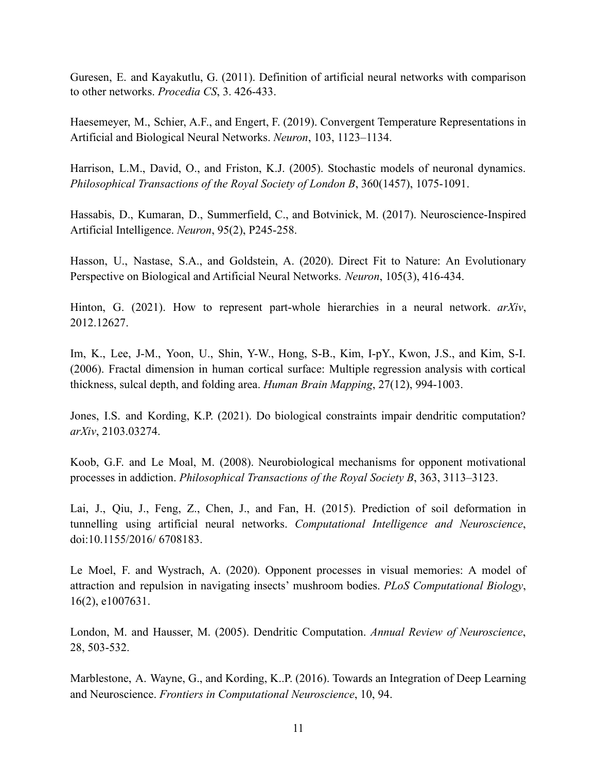Guresen, E. and Kayakutlu, G. (2011). Definition of artificial neural networks with comparison to other networks. *Procedia CS*, 3. 426-433.

Haesemeyer, M., Schier, A.F., and Engert, F. (2019). Convergent Temperature Representations in Artificial and Biological Neural Networks. *Neuron*, 103, 1123–1134.

Harrison, L.M., David, O., and Friston, K.J. (2005). Stochastic models of neuronal dynamics. *Philosophical Transactions of the Royal Society of London B*, 360(1457), 1075-1091.

Hassabis, D., Kumaran, D., Summerfield, C., and Botvinick, M. (2017). Neuroscience-Inspired Artificial Intelligence. *Neuron*, 95(2), P245-258.

Hasson, U., Nastase, S.A., and Goldstein, A. (2020). Direct Fit to Nature: An Evolutionary Perspective on Biological and Artificial Neural Networks. *Neuron*, 105(3), 416-434.

Hinton, G. (2021). How to represent part-whole hierarchies in a neural network. *arXiv*, 2012.12627.

Im, K., Lee, J-M., Yoon, U., Shin, Y-W., Hong, S-B., Kim, I-pY., Kwon, J.S., and Kim, S-I. (2006). Fractal dimension in human cortical surface: Multiple regression analysis with cortical thickness, sulcal depth, and folding area. *Human Brain Mapping*, 27(12), 994-1003.

Jones, I.S. and Kording, K.P. (2021). Do biological constraints impair dendritic computation? *arXiv*, 2103.03274.

Koob, G.F. and Le Moal, M. (2008). Neurobiological mechanisms for opponent motivational processes in addiction. *Philosophical Transactions of the Royal Society B*, 363, 3113–3123.

Lai, J., Qiu, J., Feng, Z., Chen, J., and Fan, H. (2015). Prediction of soil deformation in tunnelling using artificial neural networks. *Computational Intelligence and Neuroscience*, doi:10.1155/2016/ 6708183.

Le Moel, F. and Wystrach, A. (2020). Opponent processes in visual memories: A model of attraction and repulsion in navigating insects' mushroom bodies. *PLoS Computational Biology*, 16(2), e1007631.

London, M. and Hausser, M. (2005). Dendritic Computation. *Annual Review of Neuroscience*, 28, 503-532.

Marblestone, A. Wayne, G., and Kording, K..P. (2016). Towards an Integration of Deep Learning and Neuroscience. *Frontiers in Computational Neuroscience*, 10, 94.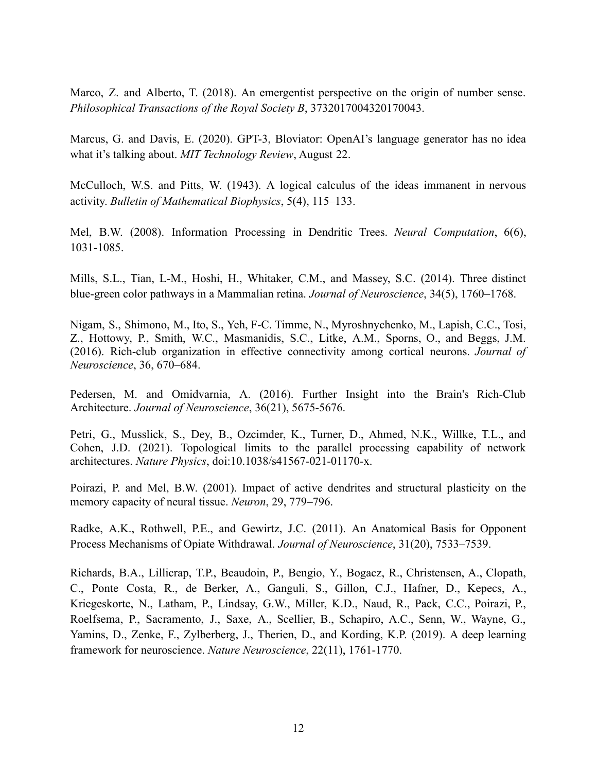Marco, Z. and Alberto, T. (2018). An emergentist perspective on the origin of number sense. *Philosophical Transactions of the Royal Society B*, 3732017004320170043.

Marcus, G. and Davis, E. (2020). GPT-3, Bloviator: OpenAI's language generator has no idea what it's talking about. *MIT Technology Review*, August 22.

McCulloch, W.S. and Pitts, W. (1943). A logical calculus of the ideas immanent in nervous activity. *Bulletin of Mathematical Biophysics*, 5(4), 115–133.

Mel, B.W. (2008). Information Processing in Dendritic Trees. *Neural Computation*, 6(6), 1031-1085.

Mills, S.L., Tian, L-M., Hoshi, H., Whitaker, C.M., and Massey, S.C. (2014). Three distinct blue-green color pathways in a Mammalian retina. *Journal of Neuroscience*, 34(5), 1760–1768.

Nigam, S., Shimono, M., Ito, S., Yeh, F-C. Timme, N., Myroshnychenko, M., Lapish, C.C., Tosi, Z., Hottowy, P., Smith, W.C., Masmanidis, S.C., Litke, A.M., Sporns, O., and Beggs, J.M. (2016). Rich-club organization in effective connectivity among cortical neurons. *Journal of Neuroscience*, 36, 670–684.

Pedersen, M. and Omidvarnia, A. (2016). Further Insight into the Brain's Rich-Club Architecture. *Journal of Neuroscience*, 36(21), 5675-5676.

Petri, G., Musslick, S., Dey, B., Ozcimder, K., Turner, D., Ahmed, N.K., Willke, T.L., and Cohen, J.D. (2021). Topological limits to the parallel processing capability of network architectures. *Nature Physics*, doi:10.1038/s41567-021-01170-x.

Poirazi, P. and Mel, B.W. (2001). Impact of active dendrites and structural plasticity on the memory capacity of neural tissue. *Neuron*, 29, 779–796.

Radke, A.K., Rothwell, P.E., and Gewirtz, J.C. (2011). An Anatomical Basis for Opponent Process Mechanisms of Opiate Withdrawal. *Journal of Neuroscience*, 31(20), 7533–7539.

Richards, B.A., Lillicrap, T.P., Beaudoin, P., Bengio, Y., Bogacz, R., Christensen, A., Clopath, C., Ponte Costa, R., de Berker, A., Ganguli, S., Gillon, C.J., Hafner, D., Kepecs, A., Kriegeskorte, N., Latham, P., Lindsay, G.W., Miller, K.D., Naud, R., Pack, C.C., Poirazi, P., Roelfsema, P., Sacramento, J., Saxe, A., Scellier, B., Schapiro, A.C., Senn, W., Wayne, G., Yamins, D., Zenke, F., Zylberberg, J., Therien, D., and Kording, K.P. (2019). A deep learning framework for neuroscience. *Nature Neuroscience*, 22(11), 1761-1770.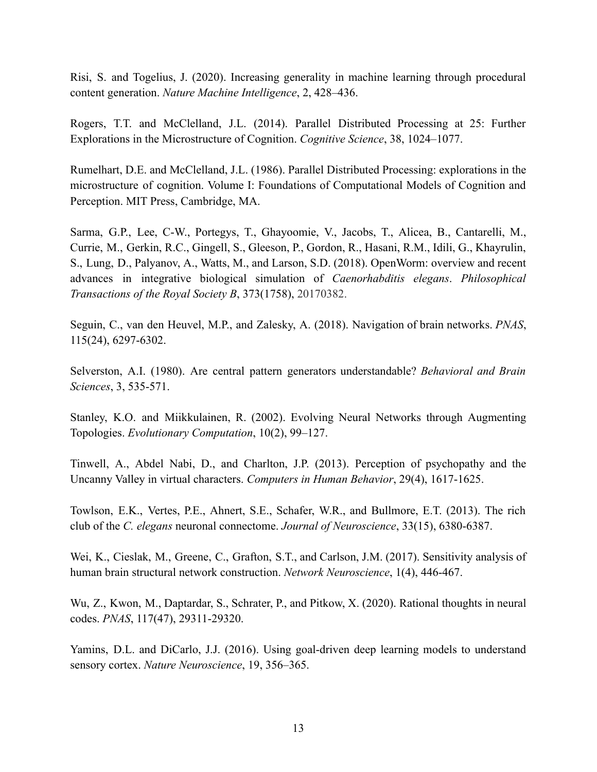Risi, S. and Togelius, J. (2020). Increasing generality in machine learning through procedural content generation. *Nature Machine Intelligence*, 2, 428–436.

Rogers, T.T. and McClelland, J.L. (2014). Parallel Distributed Processing at 25: Further Explorations in the Microstructure of Cognition. *Cognitive Science*, 38, 1024–1077.

Rumelhart, D.E. and McClelland, J.L. (1986). Parallel Distributed Processing: explorations in the microstructure of cognition. Volume I: Foundations of Computational Models of Cognition and Perception. MIT Press, Cambridge, MA.

Sarma, G.P., Lee, C-W., Portegys, T., Ghayoomie, V., Jacobs, T., Alicea, B., Cantarelli, M., Currie, M., Gerkin, R.C., Gingell, S., Gleeson, P., Gordon, R., Hasani, R.M., Idili, G., Khayrulin, S., Lung, D., Palyanov, A., Watts, M., and Larson, S.D. (2018). OpenWorm: overview and recent advances in integrative biological simulation of *Caenorhabditis elegans*. *Philosophical Transactions of the Royal Society B*, 373(1758), 20170382.

Seguin, C., van den Heuvel, M.P., and Zalesky, A. (2018). Navigation of brain networks. *PNAS*, 115(24), 6297-6302.

Selverston, A.I. (1980). Are central pattern generators understandable? *Behavioral and Brain Sciences*, 3, 535-571.

Stanley, K.O. and Miikkulainen, R. (2002). Evolving Neural Networks through Augmenting Topologies. *Evolutionary Computation*, 10(2), 99–127.

Tinwell, A., Abdel Nabi, D., and Charlton, J.P. (2013). Perception of psychopathy and the Uncanny Valley in virtual characters. *Computers in Human Behavior*, 29(4), 1617-1625.

Towlson, E.K., Vertes, P.E., Ahnert, S.E., Schafer, W.R., and Bullmore, E.T. (2013). The rich club of the *C. elegans* neuronal connectome. *Journal of Neuroscience*, 33(15), 6380-6387.

Wei, K., Cieslak, M., Greene, C., Grafton, S.T., and Carlson, J.M. (2017). Sensitivity analysis of human brain structural network construction. *Network Neuroscience*, 1(4), 446-467.

Wu, Z., Kwon, M., Daptardar, S., Schrater, P., and Pitkow, X. (2020). Rational thoughts in neural codes. *PNAS*, 117(47), 29311-29320.

Yamins, D.L. and DiCarlo, J.J. (2016). Using goal-driven deep learning models to understand sensory cortex. *Nature Neuroscience*, 19, 356–365.